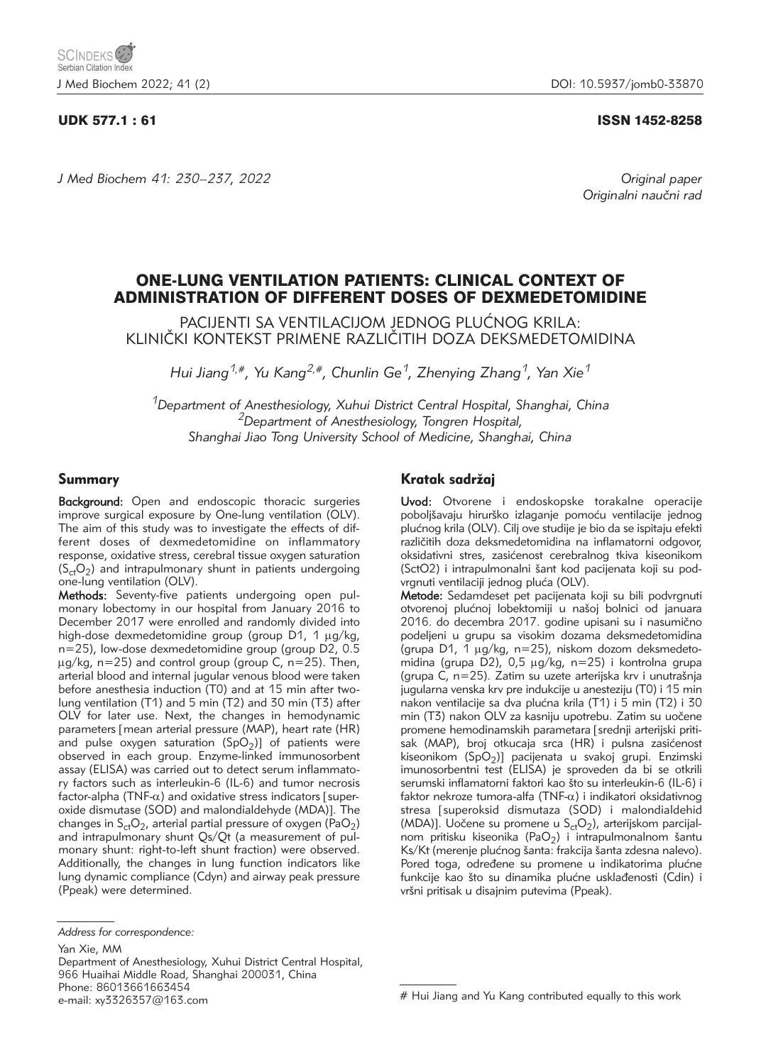## UDK 577.1 : 61 ISSN 1452-8258

*J Med Biochem 41: 230–237, 2022 Original paper*

Originalni naučni rad

# ONE-LUNG VENTILATION PATIENTS: CLINICAL CONTEXT OF ADMINISTRATION OF DIFFERENT DOSES OF DEXMEDETOMIDINE

PACIJENTI SA VENTILACIJOM JEDNOG PLUĆNOG KRILA: KLINIČKI KONTEKST PRIMENE RAZLIČITIH DOZA DEKSMEDETOMIDINA

*Hui Jiang1,#, Yu Kang2,#, Chunlin Ge1, Zhenying Zhang1, Yan Xie1*

*1Department of Anesthesiology, Xuhui District Central Hospital, Shanghai, China 2Department of Anesthesiology, Tongren Hospital, Shanghai Jiao Tong University School of Medicine, Shanghai, China*

## Summary

Background: Open and endoscopic thoracic surgeries improve surgical exposure by One-lung ventilation (OLV). The aim of this study was to investigate the effects of different doses of dexmedetomidine on inflammatory response, oxidative stress, cerebral tissue oxygen saturation  $(S_{ct}O_2)$  and intrapulmonary shunt in patients undergoing one-lung ventilation (OLV).

Methods: Seventy-five patients undergoing open pulmonary lobectomy in our hospital from January 2016 to December 2017 were enrolled and randomly divided into high-dose dexmedetomidine group (group D1, 1 μg/kg, n=25), low-dose dexmedetomidine group (group D2, 0.5  $\mu$ g/kg, n=25) and control group (group C, n=25). Then, arterial blood and internal jugular venous blood were taken before anesthesia induction (T0) and at 15 min after twolung ventilation (T1) and 5 min (T2) and 30 min (T3) after OLV for later use. Next, the changes in hemodynamic parameters [mean arterial pressure (MAP), heart rate (HR) and pulse oxygen saturation  $(SpO<sub>2</sub>)$ ] of patients were observed in each group. Enzyme-linked immunosorbent assay (ELISA) was carried out to detect serum inflammatory factors such as interleukin-6 (IL-6) and tumor necrosis factor-alpha (TNF- $\alpha$ ) and oxidative stress indicators [superoxide dismutase (SOD) and malondialdehyde (MDA)]. The changes in  $S_{ct}O_2$ , arterial partial pressure of oxygen (PaO<sub>2</sub>) and intrapulmonary shunt Qs/Qt (a measurement of pulmonary shunt: right-to-left shunt fraction) were observed. Additionally, the changes in lung function indicators like lung dynamic compliance (Cdyn) and airway peak pressure (Ppeak) were determined.

Yan Xie, MM

Department of Anesthesiology, Xuhui District Central Hospital, 966 Huaihai Middle Road, Shanghai 200031, China Phone: 86013661663454 e-mail: xy3326357@163.com

# Kratak sadržaj

Uvod: Otvorene i endoskopske torakalne operacije poboljšavaju hirurško izlaganje pomoću ventilacije jednog plućnog krila (OLV). Cilj ove studije je bio da se ispitaju efekti različitih doza deksmedetomidina na inflamatorni odgovor, oksidativni stres, zasićenost cerebralnog tkiva kiseonikom (SctO2) i intrapulmonalni šant kod pacijenata koji su podvrgnuti ventilaciji jednog pluća (OLV).

Metode: Sedamdeset pet pacijenata koji su bili podvrgnuti otvorenoj plućnoj lobektomiji u našoj bolnici od januara 2016. do decembra 2017. godine upisani su i nasumično podeljeni u grupu sa visokim dozama deksmedetomidina (grupa D1,  $1 \mu g/kg$ , n=25), niskom dozom deksmedetomidina (grupa D2), 0,5  $\mu$ g/kg, n=25) i kontrolna grupa (grupa  $C$ , n=25). Zatim su uzete arterijska krv i unutrašnja jugularna venska krv pre indukcije u anesteziju (T0) i 15 min nakon ventilacije sa dva plućna krila (T1) i 5 min (T2) i 30 min (T3) nakon OLV za kasniju upotrebu. Zatim su uočene promene hemodinamskih parametara [srednji arterijski pritisak (MAP), broj otkucaja srca (HR) i pulsna zasićenost kiseonikom (SpO<sub>2</sub>)] pacijenata u svakoj grupi. Enzimski imunosorbentni test (ELISA) je sproveden da bi se otkrili serumski inflamatorni faktori kao što su interleukin-6 (IL-6) i faktor nekroze tumora-alfa (TNF- $\alpha$ ) i indikatori oksidativnog stresa [superoksid dismutaza (SOD) i malondialdehid (MDA)]. Uočene su promene u  $S_{ct}O_2$ ), arterijskom parcijalnom pritisku kiseonika (PaO<sub>2</sub>) i intrapulmonalnom šantu Ks/Kt (merenje plućnog šanta: frakcija šanta zdesna nalevo). Pored toga, određene su promene u indikatorima plućne funkcije kao što su dinamika plućne usklađenosti (Cdin) i vršni pritisak u disajnim putevima (Ppeak).

*Address for correspondence:*

<sup>#</sup> Hui Jiang and Yu Kang contributed equally to this work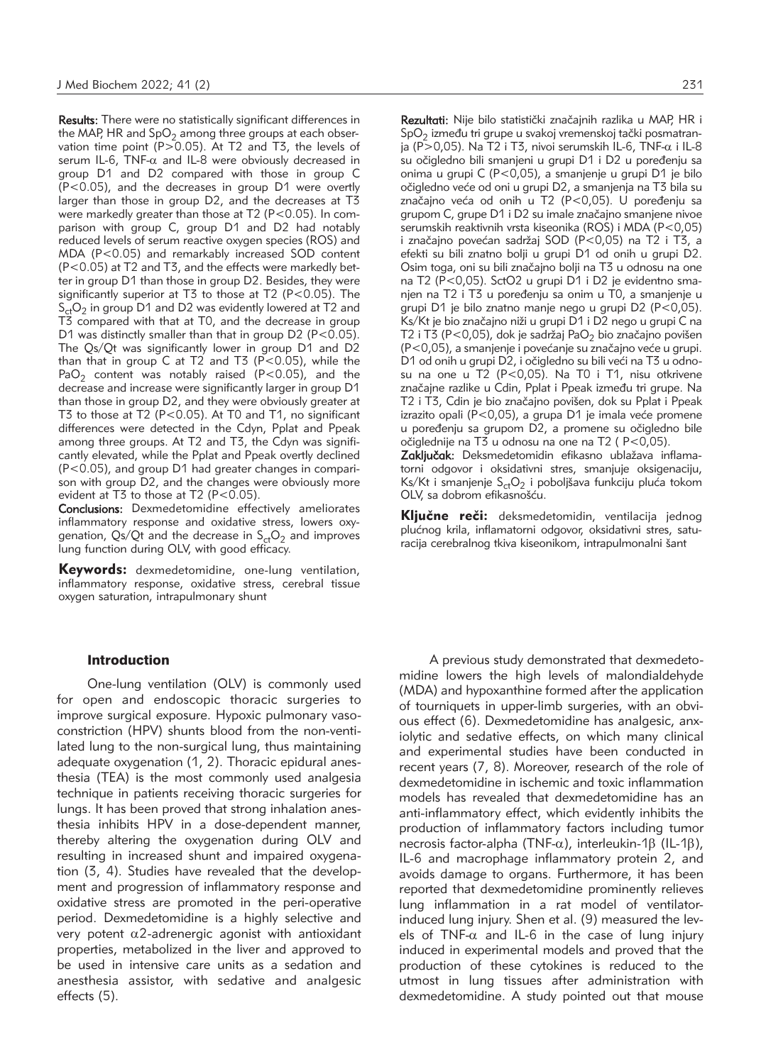Results: There were no statistically significant differences in the MAP, HR and  $SpO<sub>2</sub>$  among three groups at each observation time point (P $> 0.05$ ). At T2 and T3, the levels of serum IL-6, TNF- $\alpha$  and IL-8 were obviously decreased in group D1 and D2 compared with those in group C (P<0.05), and the decreases in group D1 were overtly larger than those in group D2, and the decreases at T3 were markedly greater than those at T2 (P<0.05). In comparison with group C, group D1 and D2 had notably reduced levels of serum reactive oxygen species (ROS) and MDA (P<0.05) and remarkably increased SOD content (P<0.05) at T2 and T3, and the effects were markedly better in group D1 than those in group D2. Besides, they were significantly superior at T3 to those at T2 (P<0.05). The  $S_{ct}O_2$  in group D1 and D2 was evidently lowered at T2 and T3 compared with that at T0, and the decrease in group D1 was distinctly smaller than that in group D2 (P<0.05). The Qs/Qt was significantly lower in group D1 and D2 than that in group C at T2 and T3 (P<0.05), while the PaO<sub>2</sub> content was notably raised (P<0.05), and the decrease and increase were significantly larger in group D1 than those in group D2, and they were obviously greater at T3 to those at T2 (P<0.05). At T0 and T1, no significant differences were detected in the Cdyn, Pplat and Ppeak among three groups. At T2 and T3, the Cdyn was significantly elevated, while the Pplat and Ppeak overtly declined (P<0.05), and group D1 had greater changes in comparison with group D2, and the changes were obviously more evident at T3 to those at T2 (P<0.05).

Conclusions: Dexmedetomidine effectively ameliorates inflammatory response and oxidative stress, lowers oxygenation, Qs/Qt and the decrease in  $S_{ct}O_2$  and improves lung function during OLV, with good efficacy.

Keywords: dexmedetomidine, one-lung ventilation, inflammatory response, oxidative stress, cerebral tissue oxygen saturation, intrapulmonary shunt

#### Introduction

One-lung ventilation (OLV) is commonly used for open and endoscopic thoracic surgeries to improve surgical exposure. Hypoxic pulmonary vasoconstriction (HPV) shunts blood from the non-ventilated lung to the non-surgical lung, thus maintaining adequate oxygenation (1, 2). Thoracic epidural anesthesia (TEA) is the most commonly used analgesia technique in patients receiving thoracic surgeries for lungs. It has been proved that strong inhalation anesthesia inhibits HPV in a dose-dependent manner, thereby altering the oxygenation during OLV and resulting in increased shunt and impaired oxygenation (3, 4). Studies have revealed that the development and progression of inflammatory response and oxidative stress are promoted in the peri-operative period. Dexmedetomidine is a highly selective and very potent  $\alpha$ 2-adrenergic agonist with antioxidant properties, metabolized in the liver and approved to be used in intensive care units as a sedation and anesthesia assistor, with sedative and analgesic effects (5).

Rezultati: Nije bilo statistički značajnih razlika u MAP, HR i  $SpO<sub>2</sub>$  između tri grupe u svakoj vremenskoj tački posmatranja (P $>$ 0,05). Na T2 i T3, nivoi serumskih IL-6, TNF- $\alpha$  i IL-8 su očigledno bili smanjeni u grupi D1 i D2 u poređenju sa onima u grupi C (P<0,05), a smanjenje u grupi D1 je bilo očigledno veće od oni u grupi D2, a smanjenja na T3 bila su značajno veća od onih u T2 (P<0,05). U poređenju sa grupom C, grupe D1 i D2 su imale značajno smanjene nivoe serumskih reaktivnih vrsta kiseonika (ROS) i MDA (P<0,05) i značajno povećan sadržaj SOD (P<0,05) na T2 i T3, a efekti su bili znatno bolji u grupi D1 od onih u grupi D2. Osim toga, oni su bili značajno bolji na T3 u odnosu na one na T2 (P<0,05). SctO2 u grupi D1 i D2 je evidentno smanjen na T2 i T3 u poređenju sa onim u T0, a smanjenje u grupi D1 je bilo znatno manje nego u grupi D2 (P<0,05). Ks/Kt je bio značajno niži u grupi D1 i D2 nego u grupi C na T2 i T3 (P<0,05), dok je sadržaj Pa $O<sub>2</sub>$  bio značajno povišen  $(P<0.05)$ , a smanjenje i povećanje su značajno veće u grupi. D1 od onih u grupi D2, i očigledno su bili veći na T3 u odnosu na one u T2 (P<0,05). Na T0 i T1, nisu otkrivene značajne razlike u Cdin, Pplat i Ppeak između tri grupe. Na T2 i T3, Cdin je bio značajno povišen, dok su Pplat i Ppeak izrazito opali ( $P < 0.05$ ), a grupa D1 je imala veće promene u poređenju sa grupom D2, a promene su očigledno bile očiglednije na T3 u odnosu na one na T2 ( P<0,05).

Zaključak: Deksmedetomidin efikasno ublažava inflamatorni odgovor i oksidativni stres, smanjuje oksigenaciju, Ks/Kt i smanjenje  $S_{ct}O_2$  i poboljšava funkciju pluća tokom OLV, sa dobrom efikasnošću.

Ključne reči: deksmedetomidin, ventilacija jednog plućnog krila, inflamatorni odgovor, oksidativni stres, saturacija cerebralnog tkiva kiseonikom, intrapulmonalni šant

A previous study demonstrated that dexmedetomidine lowers the high levels of malondialdehyde (MDA) and hypoxanthine formed after the application of tourniquets in upper-limb surgeries, with an obvious effect (6). Dexmedetomidine has analgesic, anxiolytic and sedative effects, on which many clinical and experimental studies have been conducted in recent years (7, 8). Moreover, research of the role of dexmedetomidine in ischemic and toxic inflammation models has revealed that dexmedetomidine has an anti-inflammatory effect, which evidently inhibits the production of inflammatory factors including tumor necrosis factor-alpha (TNF- $\alpha$ ), interleukin-1 $\beta$  (IL-1 $\beta$ ), IL-6 and macrophage inflammatory protein 2, and avoids damage to organs. Furthermore, it has been reported that dexmedetomidine prominently relieves lung inflammation in a rat model of ventilatorinduced lung injury. Shen et al. (9) measured the levels of TNF- $\alpha$  and IL-6 in the case of lung injury induced in experimental models and proved that the production of these cytokines is reduced to the utmost in lung tissues after administration with dexmedetomidine. A study pointed out that mouse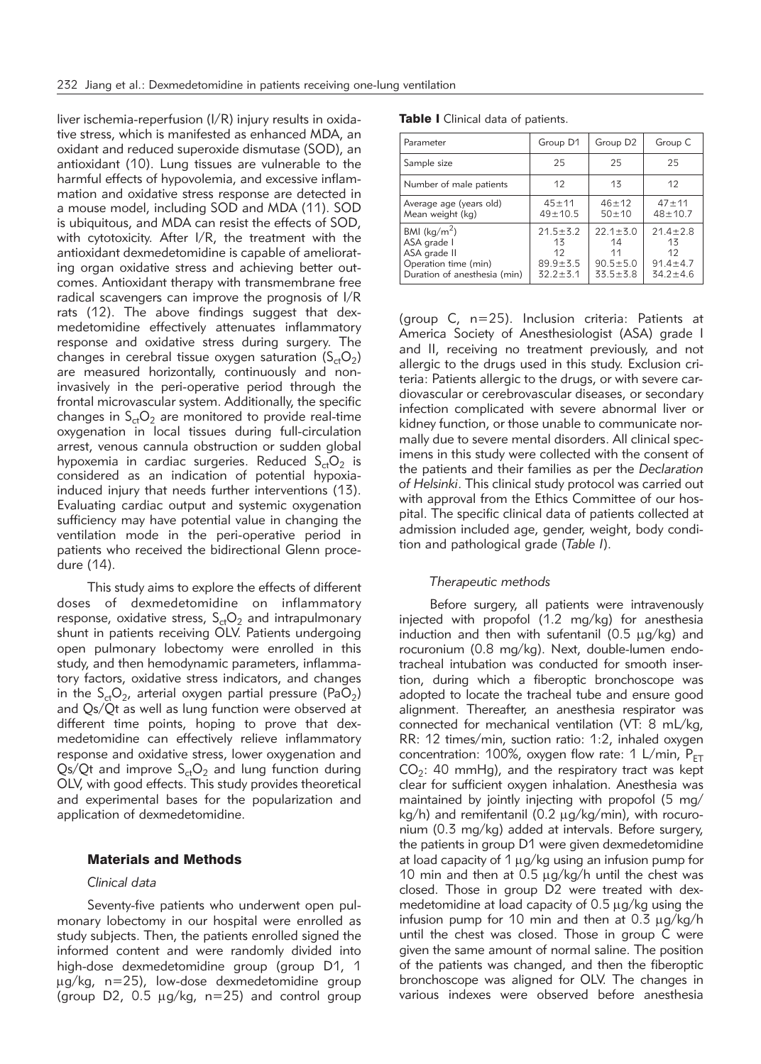liver ischemia-reperfusion (I/R) injury results in oxidative stress, which is manifested as enhanced MDA, an oxidant and reduced superoxide dismutase (SOD), an antioxidant (10). Lung tissues are vulnerable to the harmful effects of hypovolemia, and excessive inflammation and oxidative stress response are detected in a mouse model, including SOD and MDA (11). SOD is ubiquitous, and MDA can resist the effects of SOD, with cytotoxicity. After I/R, the treatment with the antioxidant dexmedetomidine is capable of ameliorating organ oxidative stress and achieving better outcomes. Antioxidant therapy with transmembrane free radical scavengers can improve the prognosis of I/R rats (12). The above findings suggest that dexmedetomidine effectively attenuates inflammatory response and oxidative stress during surgery. The changes in cerebral tissue oxygen saturation  $(S_{ct}O_2)$ are measured horizontally, continuously and noninvasively in the peri-operative period through the frontal microvascular system. Additionally, the specific changes in  $S_{ct}O_2$  are monitored to provide real-time oxygenation in local tissues during full-circulation arrest, venous cannula obstruction or sudden global hypoxemia in cardiac surgeries. Reduced  $S_{ct}O_2$  is considered as an indication of potential hypoxiainduced injury that needs further interventions (13). Evaluating cardiac output and systemic oxygenation sufficiency may have potential value in changing the ventilation mode in the peri-operative period in patients who received the bidirectional Glenn procedure (14).

This study aims to explore the effects of different doses of dexmedetomidine on inflammatory response, oxidative stress,  $S_{ct}O_2$  and intrapulmonary shunt in patients receiving OLV. Patients undergoing open pulmonary lobectomy were enrolled in this study, and then hemodynamic parameters, inflammatory factors, oxidative stress indicators, and changes in the  $S_{ct}O_{2}$ , arterial oxygen partial pressure (PaO<sub>2</sub>) and Qs/Qt as well as lung function were observed at different time points, hoping to prove that dexmedetomidine can effectively relieve inflammatory response and oxidative stress, lower oxygenation and Qs/Qt and improve  $S_{ct}O_2$  and lung function during OLV, with good effects. This study provides theoretical and experimental bases for the popularization and application of dexmedetomidine.

## Materials and Methods

### *Clinical data*

Seventy-five patients who underwent open pulmonary lobectomy in our hospital were enrolled as study subjects. Then, the patients enrolled signed the informed content and were randomly divided into high-dose dexmedetomidine group (group D1, 1  $\mu$ g/kg, n=25), low-dose dexmedetomidine group (group D2, 0.5  $\mu$ g/kg, n=25) and control group

|  |  |  |  |  | Table I Clinical data of patients. |
|--|--|--|--|--|------------------------------------|
|--|--|--|--|--|------------------------------------|

| Parameter                                                                                                      | Group D1                                                     | Group D <sub>2</sub>                                           | Group C                                                        |
|----------------------------------------------------------------------------------------------------------------|--------------------------------------------------------------|----------------------------------------------------------------|----------------------------------------------------------------|
| Sample size                                                                                                    | 25                                                           | 25                                                             | 25                                                             |
| Number of male patients                                                                                        | 12                                                           | 13                                                             | 12                                                             |
| Average age (years old)<br>Mean weight (kg)                                                                    | $45 + 11$<br>$49 \pm 10.5$                                   | $46 + 12$<br>$50 + 10$                                         | $47 + 11$<br>$48 + 10.7$                                       |
| BMI ( $\text{kg/m}^2$ )<br>ASA grade I<br>ASA grade II<br>Operation time (min)<br>Duration of anesthesia (min) | $21.5 \pm 5.2$<br>13<br>12<br>$89.9 \pm 5.5$<br>$32.2 + 5.1$ | $22.1 \pm 5.0$<br>14<br>11<br>$90.5 \pm 5.0$<br>$33.5 \pm 3.8$ | $21.4 \pm 2.8$<br>13<br>12<br>$91.4 \pm 4.7$<br>$34.2 \pm 4.6$ |

(group C, n=25). Inclusion criteria: Patients at America Society of Anesthesiologist (ASA) grade I and II, receiving no treatment previously, and not allergic to the drugs used in this study. Exclusion criteria: Patients allergic to the drugs, or with severe cardiovascular or cerebrovascular diseases, or secondary infection complicated with severe abnormal liver or kidney function, or those unable to communicate normally due to severe mental disorders. All clinical specimens in this study were collected with the consent of the patients and their families as per the *Declaration of Helsinki*. This clinical study protocol was carried out with approval from the Ethics Committee of our hospital. The specific clinical data of patients collected at admission included age, gender, weight, body condition and pathological grade (*Table I*).

## *Therapeutic methods*

Before surgery, all patients were intravenously injected with propofol (1.2 mg/kg) for anesthesia induction and then with sufentanil ( $0.5 \mu q/kg$ ) and rocuronium (0.8 mg/kg). Next, double-lumen endotracheal intubation was conducted for smooth insertion, during which a fiberoptic bronchoscope was adopted to locate the tracheal tube and ensure good alignment. Thereafter, an anesthesia respirator was connected for mechanical ventilation (VT: 8 mL/kg, RR: 12 times/min, suction ratio: 1:2, inhaled oxygen concentration: 100%, oxygen flow rate: 1 L/min,  $P_{FT}$  $CO<sub>2</sub>: 40$  mmHg), and the respiratory tract was kept clear for sufficient oxygen inhalation. Anesthesia was maintained by jointly injecting with propofol (5 mg/  $kg/h$ ) and remifentanil (0.2  $\mu g/kg/min$ ), with rocuronium (0.3 mg/kg) added at intervals. Before surgery, the patients in group D1 were given dexmedetomidine at load capacity of  $1 \mu g/kg$  using an infusion pump for 10 min and then at 0.5  $\mu$ g/kg/h until the chest was closed. Those in group D2 were treated with dexmedetomidine at load capacity of  $0.5 \mu g/kg$  using the infusion pump for 10 min and then at  $0.3 \mu g/kg/h$ until the chest was closed. Those in group C were given the same amount of normal saline. The position of the patients was changed, and then the fiberoptic bronchoscope was aligned for OLV. The changes in various indexes were observed before anesthesia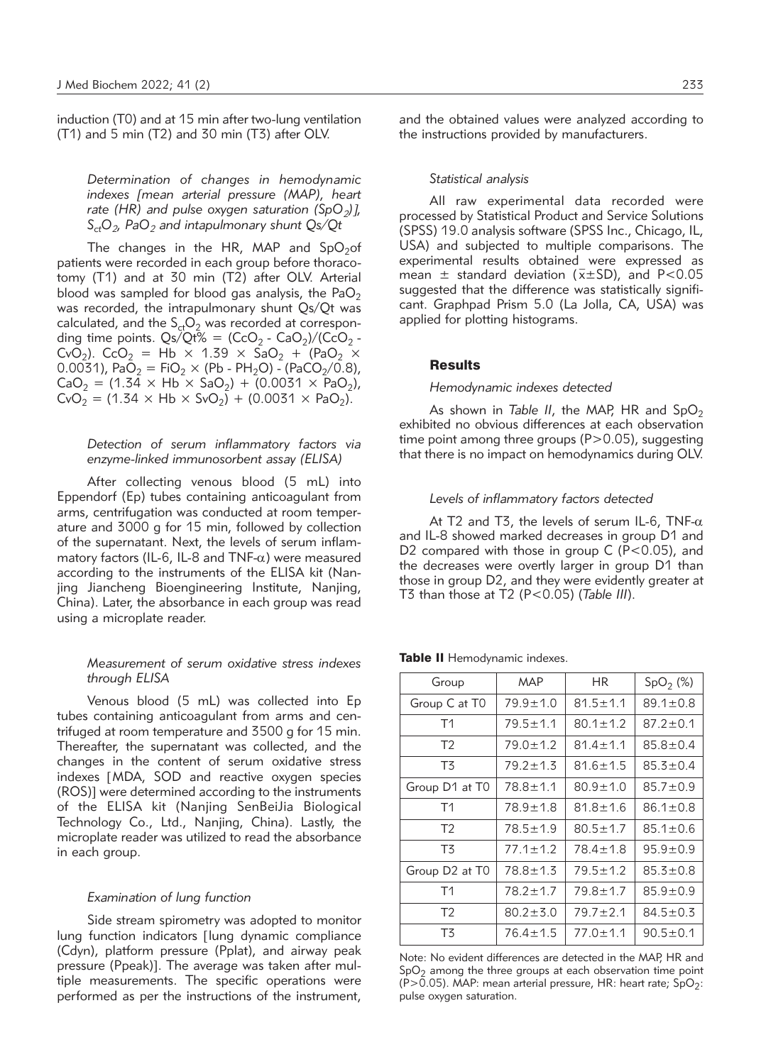induction (T0) and at 15 min after two-lung ventilation (T1) and 5 min (T2) and 30 min (T3) after OLV.

*Determination of changes in hemodynamic indexes* [*mean arterial pressure (MAP), heart rate (HR) and pulse oxygen saturation (SpO<sub>2</sub>)]*, *SctO2, PaO2 and intapulmonary shunt Qs/Qt*

The changes in the HR, MAP and  $SpO<sub>2</sub>$ of patients were recorded in each group before thoracotomy (T1) and at 30 min (T2) after OLV. Arterial blood was sampled for blood gas analysis, the PaO<sub>2</sub> was recorded, the intrapulmonary shunt Qs/Qt was calculated, and the  $S_{ct}O_2$  was recorded at corresponding time points.  $\frac{Qs}{Qt\%} = \frac{1}{Cc_0} - \frac{Ca_2}{Cc_0^2} - \frac{1}{Cc_0^2}$ CvO<sub>2</sub>). CcO<sub>2</sub> = Hb × 1.39 × SaO<sub>2</sub> + (PaO<sub>2</sub> × 0.0031), PaO<sub>2</sub> = FiO<sub>2</sub> × (Pb - PH<sub>2</sub>O) - (PaCO<sub>2</sub>/0.8),  $CaO_2 = (1.34 \times Hb \times SaO_2) + (0.0031 \times PaO_2)$ ,  $CvO<sub>2</sub> = (1.34 \times Hb \times SvO<sub>2</sub>) + (0.0031 \times PaO<sub>2</sub>).$ 

## *Detection of serum inflammatory factors via enzyme-linked immunosorbent assay (ELISA)*

After collecting venous blood (5 mL) into Eppendorf (Ep) tubes containing anticoagulant from arms, centrifugation was conducted at room temperature and 3000 g for 15 min, followed by collection of the supernatant. Next, the levels of serum inflammatory factors (IL-6, IL-8 and TNF- $\alpha$ ) were measured according to the instruments of the ELISA kit (Nanjing Jiancheng Bioengineering Institute, Nanjing, China). Later, the absorbance in each group was read using a microplate reader.

## *Measurement of serum oxidative stress indexes through ELISA*

Venous blood (5 mL) was collected into Ep tubes containing anticoagulant from arms and centrifuged at room temperature and 3500 g for 15 min. Thereafter, the supernatant was collected, and the changes in the content of serum oxidative stress indexes [MDA, SOD and reactive oxygen species (ROS)] were determined according to the instruments of the ELISA kit (Nanjing SenBeiJia Biological Technology Co., Ltd., Nanjing, China). Lastly, the microplate reader was utilized to read the absorbance in each group.

#### *Examination of lung function*

Side stream spirometry was adopted to monitor lung function indicators [lung dynamic compliance (Cdyn), platform pressure (Pplat), and airway peak pressure (Ppeak)]. The average was taken after multiple measurements. The specific operations were performed as per the instructions of the instrument, and the obtained values were analyzed according to the instructions provided by manufacturers.

### *Statistical analysis*

All raw experimental data recorded were processed by Statistical Product and Service Solutions (SPSS) 19.0 analysis software (SPSS Inc., Chicago, IL, USA) and subjected to multiple comparisons. The experimental results obtained were expressed as mean  $\pm$  standard deviation ( $\bar{x} \pm SD$ ), and P<0.05 suggested that the difference was statistically significant. Graphpad Prism 5.0 (La Jolla, CA, USA) was applied for plotting histograms.

### **Results**

## *Hemodynamic indexes detected*

As shown in *Table II*, the MAP, HR and SpO<sub>2</sub> exhibited no obvious differences at each observation time point among three groups  $(P>0.05)$ , suggesting that there is no impact on hemodynamics during OLV.

#### *Levels of inflammatory factors detected*

At T2 and T3, the levels of serum IL-6, TNF- $\alpha$ and IL-8 showed marked decreases in group D1 and D2 compared with those in group C (P<0.05), and the decreases were overtly larger in group D1 than those in group D2, and they were evidently greater at T3 than those at T2 (P<0.05) (*Table III*).

| Group                                  | MAP            | <b>HR</b>      | SpO <sub>2</sub> (%) |
|----------------------------------------|----------------|----------------|----------------------|
| Group C at T <sub>0</sub>              | 79.9±1.0       | $81.5 \pm 1.1$ | $89.1 \pm 0.8$       |
| T <sub>1</sub>                         | $79.5 \pm 1.1$ | $80.1 \pm 1.2$ | $87.2 \pm 0.1$       |
| T <sub>2</sub>                         | $79.0 \pm 1.2$ | $81.4 \pm 1.1$ | $85.8 \pm 0.4$       |
| T3                                     | $79.2 \pm 1.3$ | $81.6 \pm 1.5$ | $85.3 \pm 0.4$       |
| Group D1 at T0                         | 78.8±1.1       | $80.9 \pm 1.0$ | $85.7 \pm 0.9$       |
| T <sub>1</sub>                         | 78.9±1.8       | $81.8 \pm 1.6$ | $86.1 \pm 0.8$       |
| T <sub>2</sub>                         | $78.5 \pm 1.9$ | $80.5 \pm 1.7$ | $85.1 \pm 0.6$       |
| T3                                     | $77.1 \pm 1.2$ | $78.4 \pm 1.8$ | $95.9 \pm 0.9$       |
| Group D <sub>2</sub> at T <sub>0</sub> | 78.8±1.3       | $79.5 \pm 1.2$ | $85.3 \pm 0.8$       |
| T <sub>1</sub>                         | $78.2 \pm 1.7$ | $79.8 \pm 1.7$ | $85.9 \pm 0.9$       |
| T <sub>2</sub>                         | $80.2 \pm 5.0$ | $79.7 \pm 2.1$ | $84.5 \pm 0.3$       |
| T3                                     | $76.4 \pm 1.5$ | $77.0 \pm 1.1$ | $90.5 \pm 0.1$       |

Table II Hemodynamic indexes.

Note: No evident differences are detected in the MAP, HR and  $SpO<sub>2</sub>$  among the three groups at each observation time point (P>0.05). MAP: mean arterial pressure, HR: heart rate;  $SpO<sub>2</sub>$ : pulse oxygen saturation.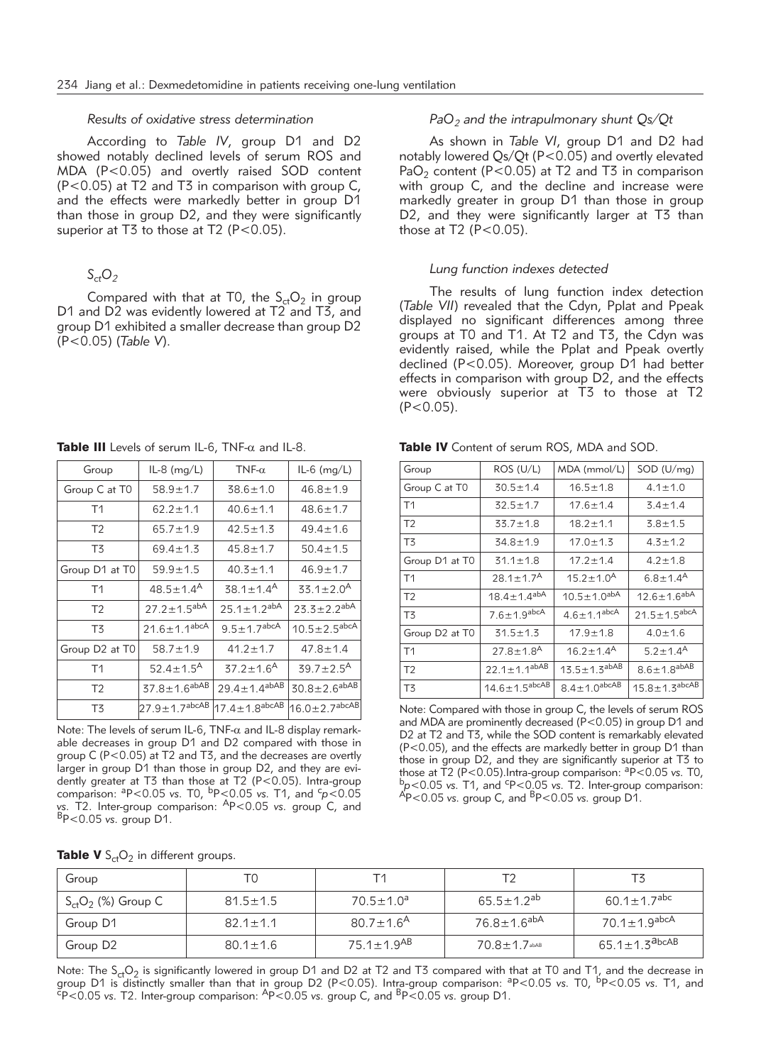#### *Results of oxidative stress determination*

According to *Table IV*, group D1 and D2 showed notably declined levels of serum ROS and MDA (P<0.05) and overtly raised SOD content (P<0.05) at T2 and T3 in comparison with group C, and the effects were markedly better in group D1 than those in group D2, and they were significantly superior at T3 to those at T2 (P<0.05).

# $S_{ct}O_2$

Compared with that at T0, the  $S_{ct}O_2$  in group D1 and D2 was evidently lowered at T2 and T3, and group D1 exhibited a smaller decrease than group D2 (P<0.05) (*Table V*).

Table III Levels of serum IL-6,  $TNF-\alpha$  and IL-8.

| Group          | $IL-8$ (mg/L)                 | TNF- $\alpha$                 | $IL-6$ (mg/L)                   |
|----------------|-------------------------------|-------------------------------|---------------------------------|
| Group C at T0  | $58.9 \pm 1.7$                | $38.6 \pm 1.0$                | $46.8 \pm 1.9$                  |
| T1             | $62.2 \pm 1.1$                | $40.6 \pm 1.1$                | $48.6 \pm 1.7$                  |
| T <sub>2</sub> | $65.7 \pm 1.9$                | $42.5 \pm 1.3$                | $49.4 \pm 1.6$                  |
| T3             | $69.4 \pm 1.3$                | $45.8 \pm 1.7$                | $50.4 \pm 1.5$                  |
| Group D1 at T0 | $59.9 \pm 1.5$                | $40.3 \pm 1.1$                | $46.9 \pm 1.7$                  |
| T <sub>1</sub> | $48.5 \pm 1.4^{A}$            | $38.1 \pm 1.4$ <sup>A</sup>   | $33.1 \pm 2.0^{\text{A}}$       |
| T <sub>2</sub> | $27.2 \pm 1.5^{abA}$          | $25.1 \pm 1.2^{abA}$          | $23.3 \pm 2.2^{abA}$            |
| T3             | $21.6 \pm 1.1^{abcA}$         | $9.5 \pm 1.7$ <sup>abcA</sup> | $10.5 \pm 2.5$ abcA             |
| Group D2 at T0 | $58.7 \pm 1.9$                | $41.2 \pm 1.7$                | $47.8 \pm 1.4$                  |
| T <sub>1</sub> | $52.4 \pm 1.5^{\text{A}}$     | $37.2 \pm 1.6$ <sup>A</sup>   | $39.7 \pm 2.5^{\text{A}}$       |
| T <sub>2</sub> | $37.8 \pm 1.6^{abAB}$         | $29.4 \pm 1.4^{abAB}$         | $30.8 \pm 2.6$ abAB             |
| T3             | $27.9 \pm 1.7^{\text{abcAB}}$ | $17.4 \pm 1.8$ abcAB          | $16.0 \pm 2.7$ <sup>abcAB</sup> |

Note: The levels of serum IL-6, TNF- $\alpha$  and IL-8 display remarkable decreases in group D1 and D2 compared with those in group C (P<0.05) at T2 and T3, and the decreases are overtly larger in group D1 than those in group D2, and they are evidently greater at T3 than those at T2 (P<0.05). Intra-group comparison: aP<0.05 *vs.* T0, bP<0.05 *vs.* T1, and <sup>c</sup> *p*<0.05 *vs.* T2. Inter-group comparison: AP<0.05 *vs.* group C, and BP<0.05 *vs.* group D1.

| PaO <sub>2</sub> and the intrapulmonary shunt Qs/Qt |  |
|-----------------------------------------------------|--|
|-----------------------------------------------------|--|

As shown in *Table VI*, group D1 and D2 had notably lowered Qs/Qt (P<0.05) and overtly elevated PaO<sub>2</sub> content (P<0.05) at T2 and T3 in comparison with group C, and the decline and increase were markedly greater in group D1 than those in group D2, and they were significantly larger at T3 than those at  $T2$  (P<0.05).

#### *Lung function indexes detected*

The results of lung function index detection (*Table VII*) revealed that the Cdyn, Pplat and Ppeak displayed no significant differences among three groups at T0 and T1. At T2 and T3, the Cdyn was evidently raised, while the Pplat and Ppeak overtly declined (P<0.05). Moreover, group D1 had better effects in comparison with group D2, and the effects were obviously superior at T3 to those at T2  $(P < 0.05)$ .

Table IV Content of serum ROS, MDA and SOD.

| Group          | ROS (U/L)                   | MDA (mmol/L)              | SOD (U/mq)                 |
|----------------|-----------------------------|---------------------------|----------------------------|
| Group C at T0  | $30.5 \pm 1.4$              | $16.5 \pm 1.8$            | $4.1 \pm 1.0$              |
| T1             | $32.5 \pm 1.7$              | $17.6 \pm 1.4$            | $3.4 \pm 1.4$              |
| T <sub>2</sub> | $33.7 \pm 1.8$              | $18.2 \pm 1.1$            | $3.8 + 1.5$                |
| T3             | $34.8 \pm 1.9$              | $17.0 \pm 1.3$            | $4.3 \pm 1.2$              |
| Group D1 at T0 | $31.1 \pm 1.8$              | $17.2 \pm 1.4$            | $4.2 \pm 1.8$              |
| T <sub>1</sub> | $28.1 \pm 1.7^{\text{A}}$   | $15.2 \pm 1.0^{\text{A}}$ | $6.8 \pm 1.4$ <sup>A</sup> |
| T <sub>2</sub> | $18.4 \pm 1.4^{abA}$        | $10.5 \pm 1.0^{abA}$      | $12.6 \pm 1.6^{abA}$       |
| T3             | $7.6 \pm 1.9$ abcA          | $4.6 \pm 1.1^{abcA}$      | $21.5 \pm 1.5$ abcA        |
| Group D2 at T0 | $31.5 \pm 1.3$              | $17.9 \pm 1.8$            | $4.0 \pm 1.6$              |
| T <sub>1</sub> | $27.8 \pm 1.8$ <sup>A</sup> | $16.2 \pm 1.4^{\text{A}}$ | $5.2 \pm 1.4^{\text{A}}$   |
| T <sub>2</sub> | $22.1 \pm 1.1^{abAB}$       | $13.5 \pm 1.3^{abAB}$     | $8.6 \pm 1.8$ abAB         |
| T3             | $14.6 \pm 1.5^{abcAB}$      | $8.4 \pm 1.0$ abcAB       | $15.8 \pm 1.3$ abcAB       |

Note: Compared with those in group C, the levels of serum ROS and MDA are prominently decreased (P<0.05) in group D1 and D2 at T2 and T3, while the SOD content is remarkably elevated (P<0.05), and the effects are markedly better in group D1 than those in group D2, and they are significantly superior at T3 to those at  $\overline{T}2$  (P<0.05). Intra-group comparison:  $aP<0.05$  vs. T0, those at T2 (P<0.05).Intra-group comparison: <sup>a</sup>P<0.05 *vs*. T0,<br><sup>b</sup>p<0.05 *vs*. T1, and <sup>c</sup>P<0.05 *vs*. T2. Inter-group comparison: P<0.05 *vs.* T2. Inter-group comparison: AP<0.05 *vs.* group C, and BP<0.05 *vs.* group D1.

| Group                   | ТC             | Т1                           | Т٧                      |                                   |
|-------------------------|----------------|------------------------------|-------------------------|-----------------------------------|
| $S_{ct}O_2$ (%) Group C | $81.5 \pm 1.5$ | $70.5 \pm 1.0^a$             | $65.5 \pm 1.2^{ab}$     | 60.1 $\pm$ 1.7 <sup>abc</sup>     |
| Group D1                | $82.1 \pm 1.1$ | $80.7 \pm 1.6^{\text{A}}$    | 76.8±1.6 <sup>abA</sup> | 70.1±1.9 <sup>abcA</sup>          |
| Group D <sub>2</sub>    | $80.1 \pm 1.6$ | 75.1 $\pm$ 1.9 <sup>AB</sup> | $70.8 \pm 1.7$ abAB     | 65.1 $\pm$ 1.3 $^{\text{a}}$ bcAB |

Note: The S<sub>ct</sub>O<sub>2</sub> is significantly lowered in group D1 and D2 at T2 and T3 compared with that at T0 and T1, and the decrease in<br>group D1 is distinctly smaller than that in group D2 (P<0.05). Intra-group comparison: <sup>a</sup>P<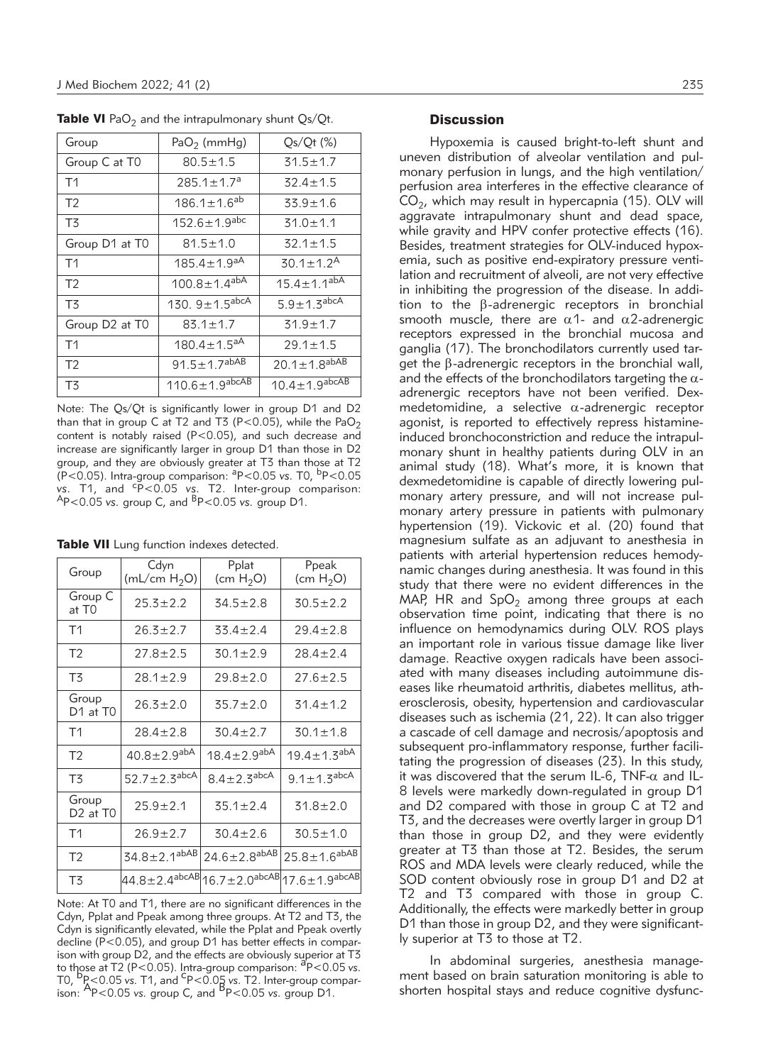| $PaO2$ (mmHg)           | $Qs/Qt$ (%)                     |
|-------------------------|---------------------------------|
| $80.5 \pm 1.5$          | $31.5 \pm 1.7$                  |
| $285.1 \pm 1.7^a$       | $32.4 \pm 1.5$                  |
| $186.1 \pm 1.6^{ab}$    | $33.9 \pm 1.6$                  |
| $152.6 \pm 1.9^{abc}$   | $31.0 \pm 1.1$                  |
| $81.5 \pm 1.0$          | $32.1 \pm 1.5$                  |
| $185.4 \pm 1.9^{aA}$    | $30.1 \pm 1.2^{\text{A}}$       |
| $100.8 \pm 1.4^{abA}$   | $15.4 \pm 1.1^{ab\overline{A}}$ |
| 130. $9 \pm 1.5^{abcA}$ | $5.9 \pm 1.3$ abcA              |
| $83.1 \pm 1.7$          | $31.9 \pm 1.7$                  |
| $180.4 \pm 1.5^{aA}$    | $29.1 \pm 1.5$                  |
| $91.5 \pm 1.7^{abAB}$   | $20.1 \pm 1.8^{abAB}$           |
| $110.6 \pm 1.9^{abcAB}$ | $10.4 \pm 1.9$ abcAB            |
|                         |                                 |

**Table VI** PaO<sub>2</sub> and the intrapulmonary shunt  $Qs/Qt$ .

Note: The Qs/Qt is significantly lower in group D1 and D2 than that in group C at T2 and T3 (P<0.05), while the PaO<sub>2</sub> content is notably raised (P<0.05), and such decrease and increase are significantly larger in group D1 than those in D2 group, and they are obviously greater at T3 than those at T2 (P<0.05). Intra-group comparison: aP<0.05 *vs.* T0, bP<0.05 *vs.* T1, and <sup>c</sup> P<0.05 *vs.* T2. Inter-group comparison: AP<0.05 *vs.* group C, and BP<0.05 *vs.* group D1.

|  |  |  |  |  | Table VII Lung function indexes detected. |
|--|--|--|--|--|-------------------------------------------|
|--|--|--|--|--|-------------------------------------------|

| Group                                     | Cdyn<br>( $mL/cm H2O$ )       | Pplat<br>(cm $H_2O$ )                                | Ppeak<br>(cm $H_2O$ )  |
|-------------------------------------------|-------------------------------|------------------------------------------------------|------------------------|
| Group C<br>at T0                          | $25.3 \pm 2.2$                | $34.5 \pm 2.8$                                       | $30.5 \pm 2.2$         |
| T1                                        | $26.3 \pm 2.7$                | $33.4 \pm 2.4$                                       | $29.4 \pm 2.8$         |
| T <sub>2</sub>                            | $27.8 + 2.5$                  | $30.1 \pm 2.9$                                       | $28.4 \pm 2.4$         |
| T3                                        | $28.1 \pm 2.9$                | $29.8 \pm 2.0$                                       | $27.6 \pm 2.5$         |
| Group<br>D1 at T0                         | $26.3 \pm 2.0$                | $35.7 \pm 2.0$                                       | $31.4 \pm 1.2$         |
| T1                                        | $28.4 \pm 2.8$                | $30.4 \pm 2.7$                                       | $30.1 \pm 1.8$         |
| T <sub>2</sub>                            | $40.8 \pm 2.9$ <sup>abA</sup> | $18.4 \pm 2.9$ <sup>abA</sup>                        | $19.4 \pm 1.3^{abA}$   |
| T3                                        | $52.7 \pm 2.3$ abcA           | $8.4 + 2.3$ abcA                                     | $9.1 \pm 1.3^{abcA}$   |
| Group<br>D <sub>2</sub> at T <sub>0</sub> | $25.9 + 2.1$                  | $35.1 \pm 2.4$                                       | $31.8 \pm 2.0$         |
| T <sub>1</sub>                            | $26.9 \pm 2.7$                | $30.4 \pm 2.6$                                       | $30.5 \pm 1.0$         |
| T <sub>2</sub>                            | $34.8 \pm 2.1^{abAB}$         | $24.6 \pm 2.8$ <sup>abAB</sup>                       | $25.8 \pm 1.6^{abAB}$  |
| T3                                        |                               | 44.8±2.4 <sup>abcAB</sup>  16.7±2.0 <sup>abcAB</sup> | $17.6 \pm 1.9^{abcAB}$ |

Note: At T0 and T1, there are no significant differences in the Cdyn, Pplat and Ppeak among three groups. At T2 and T3, the Cdyn is significantly elevated, while the Pplat and Ppeak overtly decline (P<0.05), and group D1 has better effects in comparison with group D2, and the effects are obviously superior at T3 to those at T2 (P<0.05). Intra-group comparison: <sup>a</sup>P<0.05 vs. for the case of the control. This prop comparison: The control of the control of the control of the control of the control of the control of the control of the control of the control of the control of the control of the co

## **Discussion**

Hypoxemia is caused bright-to-left shunt and uneven distribution of alveolar ventilation and pulmonary perfusion in lungs, and the high ventilation/ perfusion area interferes in the effective clearance of  $CO<sub>2</sub>$ , which may result in hypercapnia (15). OLV will aggravate intrapulmonary shunt and dead space, while gravity and HPV confer protective effects (16). Besides, treatment strategies for OLV-induced hypoxemia, such as positive end-expiratory pressure ventilation and recruitment of alveoli, are not very effective in inhibiting the progression of the disease. In addition to the b-adrenergic receptors in bronchial smooth muscle, there are  $\alpha$ 1- and  $\alpha$ 2-adrenergic receptors expressed in the bronchial mucosa and ganglia (17). The bronchodilators currently used target the  $\beta$ -adrenergic receptors in the bronchial wall, and the effects of the bronchodilators targeting the  $\alpha$ adrenergic receptors have not been verified. Dexmedetomidine, a selective  $\alpha$ -adrenergic receptor agonist, is reported to effectively repress histamineinduced bronchoconstriction and reduce the intrapulmonary shunt in healthy patients during OLV in an animal study (18). What's more, it is known that dexmedetomidine is capable of directly lowering pulmonary artery pressure, and will not increase pulmonary artery pressure in patients with pulmonary hypertension (19). Vickovic et al. (20) found that magnesium sulfate as an adjuvant to anesthesia in patients with arterial hypertension reduces hemodynamic changes during anesthesia. It was found in this study that there were no evident differences in the MAP, HR and  $SpO<sub>2</sub>$  among three groups at each observation time point, indicating that there is no influence on hemodynamics during OLV. ROS plays an important role in various tissue damage like liver damage. Reactive oxygen radicals have been associated with many diseases including autoimmune diseases like rheumatoid arthritis, diabetes mellitus, atherosclerosis, obesity, hypertension and cardiovascular diseases such as ischemia (21, 22). It can also trigger a cascade of cell damage and necrosis/apoptosis and subsequent pro-inflammatory response, further facilitating the progression of diseases (23). In this study, it was discovered that the serum IL-6, TNF- $\alpha$  and IL-8 levels were markedly down-regulated in group D1 and D2 compared with those in group C at T2 and T3, and the decreases were overtly larger in group D1 than those in group D2, and they were evidently greater at T3 than those at T2. Besides, the serum ROS and MDA levels were clearly reduced, while the SOD content obviously rose in group D1 and D2 at T2 and T3 compared with those in group C. Additionally, the effects were markedly better in group D1 than those in group D2, and they were significantly superior at T3 to those at T2.

In abdominal surgeries, anesthesia management based on brain saturation monitoring is able to shorten hospital stays and reduce cognitive dysfunc-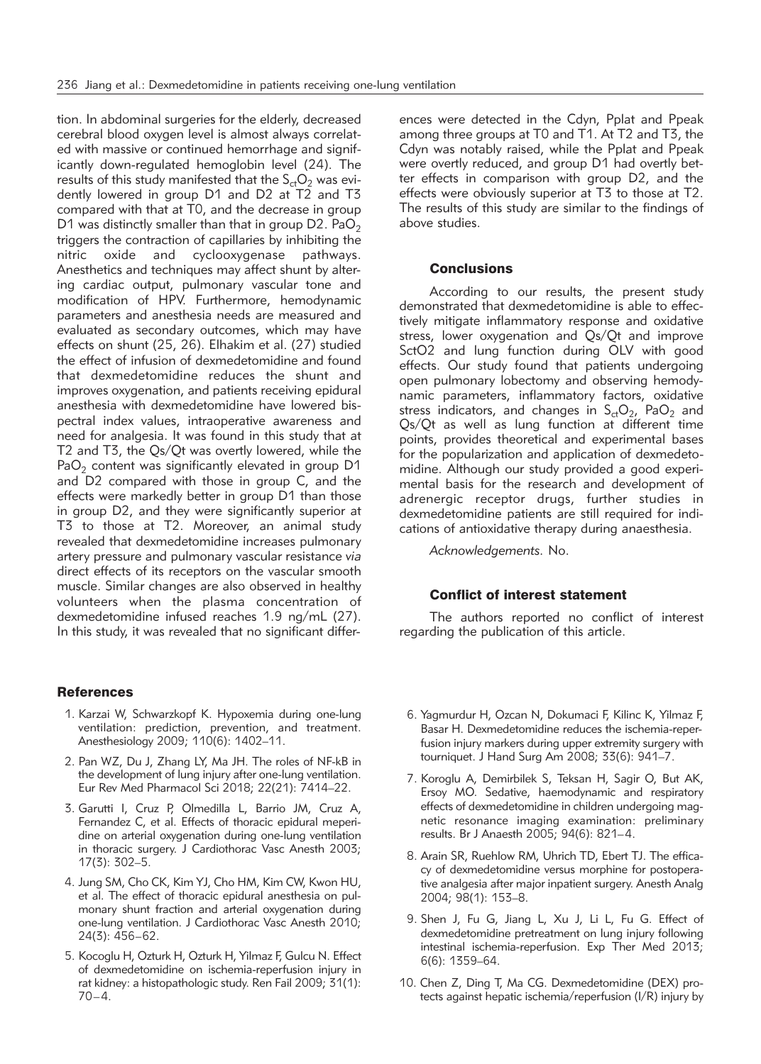tion. In abdominal surgeries for the elderly, decreased cerebral blood oxygen level is almost always correlated with massive or continued hemorrhage and significantly down-regulated hemoglobin level (24). The results of this study manifested that the  $S_{ct}O_2$  was evidently lowered in group D1 and D2 at T2 and T3 compared with that at T0, and the decrease in group D1 was distinctly smaller than that in group D2.  $PaO<sub>2</sub>$ triggers the contraction of capillaries by inhibiting the nitric oxide and cyclooxygenase pathways. Anesthetics and techniques may affect shunt by altering cardiac output, pulmonary vascular tone and modification of HPV. Furthermore, hemodynamic parameters and anesthesia needs are measured and evaluated as secondary outcomes, which may have effects on shunt (25, 26). Elhakim et al. (27) studied the effect of infusion of dexmedetomidine and found that dexmedetomidine reduces the shunt and improves oxygenation, and patients receiving epidural anesthesia with dexmedetomidine have lowered bispectral index values, intraoperative awareness and need for analgesia. It was found in this study that at T2 and T3, the Qs/Qt was overtly lowered, while the  $PaO<sub>2</sub>$  content was significantly elevated in group D1 and D2 compared with those in group C, and the effects were markedly better in group D1 than those in group D2, and they were significantly superior at T3 to those at T2. Moreover, an animal study revealed that dexmedetomidine increases pulmonary artery pressure and pulmonary vascular resistance *via* direct effects of its receptors on the vascular smooth muscle. Similar changes are also observed in healthy volunteers when the plasma concentration of dexmedetomidine infused reaches 1.9 ng/mL (27). In this study, it was revealed that no significant differ-

## **References**

- 1. Karzai W, Schwarzkopf K. Hypoxemia during one-lung ventilation: prediction, prevention, and treatment. Anesthesiology 2009; 110(6): 1402–11.
- 2. Pan WZ, Du J, Zhang LY, Ma JH. The roles of NF-kB in the development of lung injury after one-lung ventilation. Eur Rev Med Pharmacol Sci 2018; 22(21): 7414–22.
- 3. Garutti I, Cruz P, Olmedilla L, Barrio JM, Cruz A, Fernandez C, et al. Effects of thoracic epidural meperidine on arterial oxygenation during one-lung ventilation in thoracic surgery. J Cardiothorac Vasc Anesth 2003; 17(3): 302–5.
- 4. Jung SM, Cho CK, Kim YJ, Cho HM, Kim CW, Kwon HU, et al. The effect of thoracic epidural anesthesia on pulmonary shunt fraction and arterial oxygenation during one-lung ventilation. J Cardiothorac Vasc Anesth 2010; 24(3): 456–62.
- 5. Kocoglu H, Ozturk H, Ozturk H, Yilmaz F, Gulcu N. Effect of dexmedetomidine on ischemia-reperfusion injury in rat kidney: a histopathologic study. Ren Fail 2009; 31(1): 70–4.

ences were detected in the Cdyn, Pplat and Ppeak among three groups at T0 and T1. At T2 and T3, the Cdyn was notably raised, while the Pplat and Ppeak were overtly reduced, and group D1 had overtly better effects in comparison with group D2, and the effects were obviously superior at T3 to those at T2. The results of this study are similar to the findings of above studies.

### **Conclusions**

According to our results, the present study demonstrated that dexmedetomidine is able to effectively mitigate inflammatory response and oxidative stress, lower oxygenation and Qs/Qt and improve SctO2 and lung function during OLV with good effects. Our study found that patients undergoing open pulmonary lobectomy and observing hemodynamic parameters, inflammatory factors, oxidative stress indicators, and changes in  $S<sub>ct</sub>O<sub>2</sub>$ , PaO<sub>2</sub> and Qs/Qt as well as lung function at different time points, provides theoretical and experimental bases for the popularization and application of dexmedetomidine. Although our study provided a good experimental basis for the research and development of adrenergic receptor drugs, further studies in dexmedetomidine patients are still required for indications of antioxidative therapy during anaesthesia.

*Acknowledgements.* No.

#### Conflict of interest statement

The authors reported no conflict of interest regarding the publication of this article.

- 6. Yagmurdur H, Ozcan N, Dokumaci F, Kilinc K, Yilmaz F, Basar H. Dexmedetomidine reduces the ischemia-reperfusion injury markers during upper extremity surgery with tourniquet. J Hand Surg Am 2008; 33(6): 941–7.
- 7. Koroglu A, Demirbilek S, Teksan H, Sagir O, But AK, Ersoy MO. Sedative, haemodynamic and respiratory effects of dexmedetomidine in children undergoing magnetic resonance imaging examination: preliminary results. Br J Anaesth 2005; 94(6): 821–4.
- 8. Arain SR, Ruehlow RM, Uhrich TD, Ebert TJ. The efficacy of dexmedetomidine versus morphine for postoperative analgesia after major inpatient surgery. Anesth Analg 2004; 98(1): 153–8.
- 9. Shen J, Fu G, Jiang L, Xu J, Li L, Fu G. Effect of dexmedetomidine pretreatment on lung injury following intestinal ischemia-reperfusion. Exp Ther Med 2013; 6(6): 1359–64.
- 10. Chen Z, Ding T, Ma CG. Dexmedetomidine (DEX) protects against hepatic ischemia/reperfusion (I/R) injury by